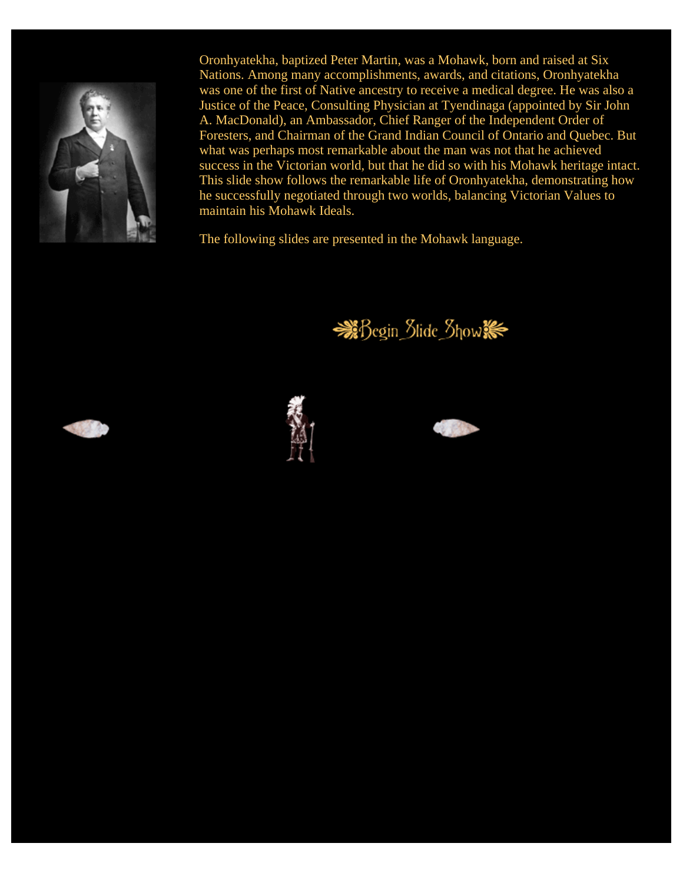

Oronhyatekha, baptized Peter Martin, was a Mohawk, born and raised at Six Nations. Among many accomplishments, awards, and citations, Oronhyatekha was one of the first of Native ancestry to receive a medical degree. He was also a Justice of the Peace, Consulting Physician at Tyendinaga (appointed by Sir John A. MacDonald), an Ambassador, Chief Ranger of the Independent Order of Foresters, and Chairman of the Grand Indian Council of Ontario and Quebec. But what was perhaps most remarkable about the man was not that he achieved success in the Victorian world, but that he did so with his Mohawk heritage intact. This slide show follows the remarkable life of Oronhyatekha, demonstrating how he successfully negotiated through two worlds, balancing Victorian Values to maintain his Mohawk Ideals.

The following slides are presented in the Mohawk language.







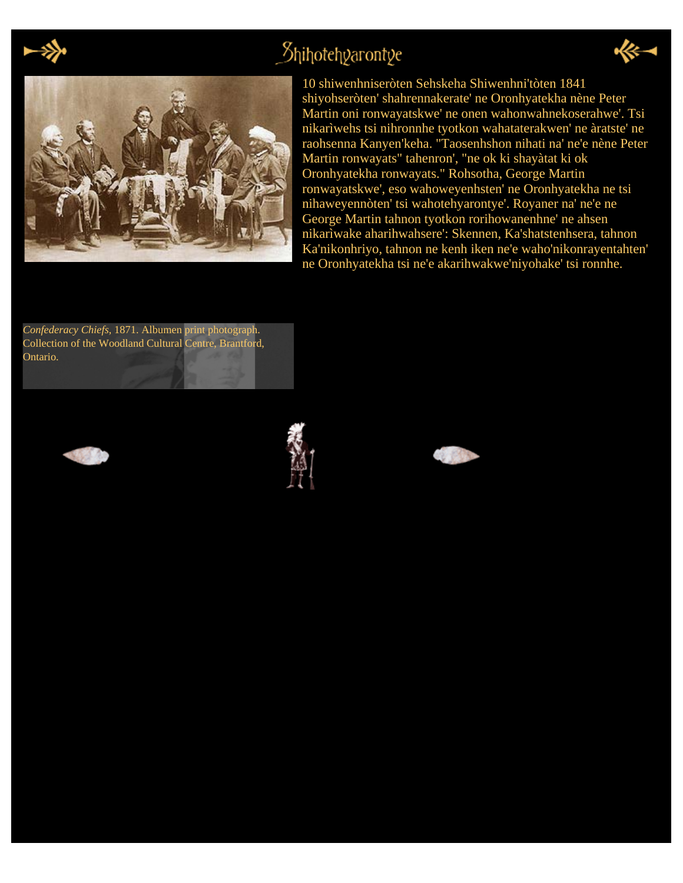

### $\beta$ hihotehyarontye





10 shiwenhniseròten Sehskeha Shiwenhni'tòten 1841 shiyohseròten' shahrennakerate' ne Oronhyatekha nène Peter Martin oni ronwayatskwe' ne onen wahonwahnekoserahwe'. Tsi nikarìwehs tsi nihronnhe tyotkon wahataterakwen' ne àratste' ne raohsenna Kanyen'keha. "Taosenhshon nihati na' ne'e nène Peter Martin ronwayats" tahenron', "ne ok ki shayàtat ki ok Oronhyatekha ronwayats." Rohsotha, George Martin ronwayatskwe', eso wahoweyenhsten' ne Oronhyatekha ne tsi nihaweyennòten' tsi wahotehyarontye'. Royaner na' ne'e ne George Martin tahnon tyotkon rorihowanenhne' ne ahsen nikarìwake aharihwahsere': Skennen, Ka'shatstenhsera, tahnon Ka'nikonhriyo, tahnon ne kenh iken ne'e waho'nikonrayentahten' ne Oronhyatekha tsi ne'e akarihwakwe'niyohake' tsi ronnhe.

*Confederacy Chiefs*, 1871. Albumen print photograph. Collection of the Woodland Cultural Centre, Brantford, Ontario.





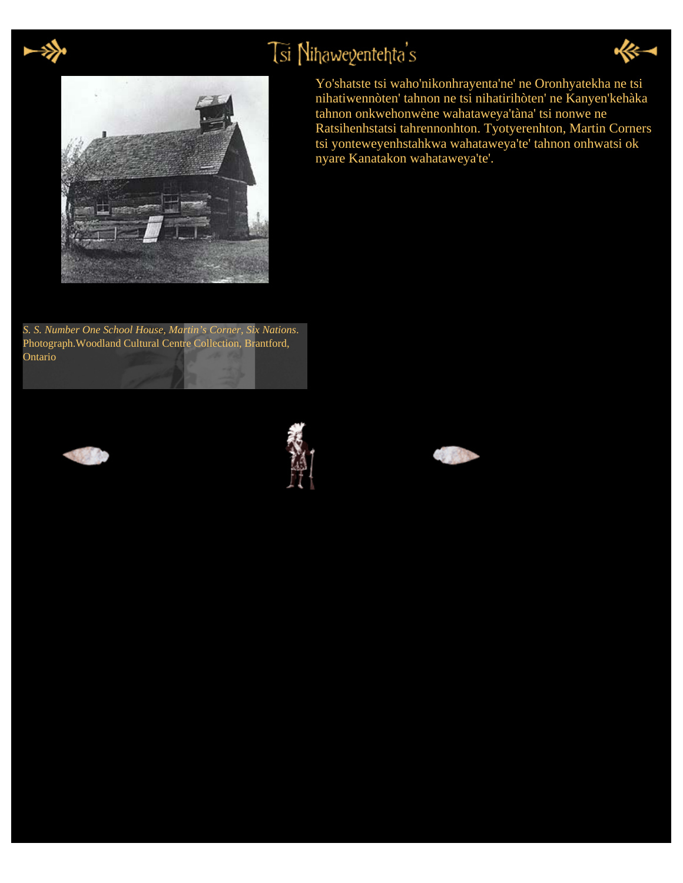

# Tsi Nihawegentehta's





*S. S. Number One School House, Martin's Corner, Six Nations*. Photograph.Woodland Cultural Centre Collection, Brantford, Ontario









Yo'shatste tsi waho'nikonhrayenta'ne' ne Oronhyatekha ne tsi nihatiwennòten' tahnon ne tsi nihatirihòten' ne Kanyen'kehàka tahnon onkwehonwène wahataweya'tàna' tsi nonwe ne Ratsihenhstatsi tahrennonhton. Tyotyerenhton, Martin Corners tsi yonteweyenhstahkwa wahataweya'te' tahnon onhwatsi ok nyare Kanatakon wahataweya'te'.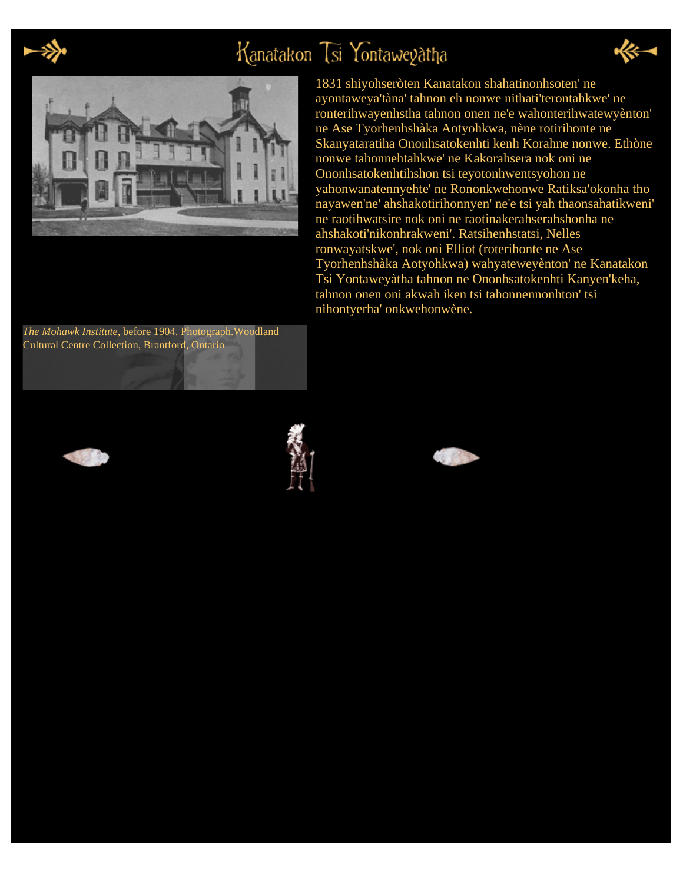

# Kanatakon Tsi Yontaweyatha





1831 shiyohseròten Kanatakon shahatinonhsoten' ne ayontaweya'tàna' tahnon eh nonwe nithati'terontahkwe' ne ronterihwayenhstha tahnon onen ne'e wahonterihwatewyènton' ne Ase Tyorhenhshàka Aotyohkwa, nène rotirihonte ne Skanyataratiha Ononhsatokenhti kenh Korahne nonwe. Ethòne nonwe tahonnehtahkwe' ne Kakorahsera nok oni ne Ononhsatokenhtihshon tsi teyotonhwentsyohon ne yahonwanatennyehte' ne Rononkwehonwe Ratiksa'okonha tho nayawen'ne' ahshakotirihonnyen' ne'e tsi yah thaonsahatikweni' ne raotihwatsire nok oni ne raotinakerahserahshonha ne ahshakoti'nikonhrakweni'. Ratsihenhstatsi, Nelles ronwayatskwe', nok oni Elliot (roterihonte ne Ase Tyorhenhshàka Aotyohkwa) wahyateweyènton' ne Kanatakon Tsi Yontaweyàtha tahnon ne Ononhsatokenhti Kanyen'keha, tahnon onen oni akwah iken tsi tahonnennonhton' tsi nihontyerha' onkwehonwène.







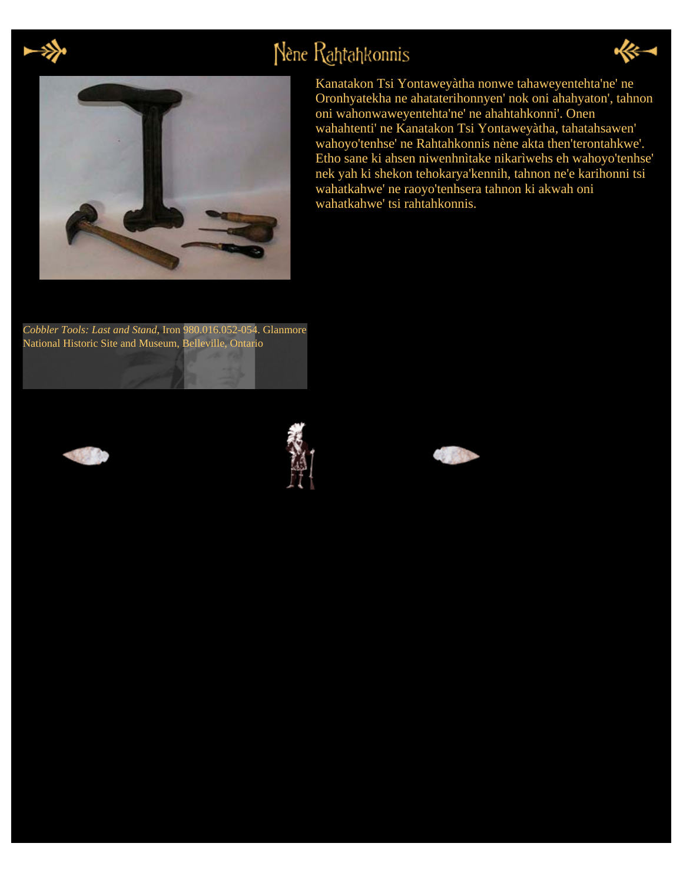

# Nène Rahtahkonnis



Kanatakon Tsi Yontaweyàtha nonwe tahaweyentehta'ne' ne Oronhyatekha ne ahataterihonnyen' nok oni ahahyaton', tahnon oni wahonwaweyentehta'ne' ne ahahtahkonni'. Onen wahahtenti' ne Kanatakon Tsi Yontaweyàtha, tahatahsawen' wahoyo'tenhse' ne Rahtahkonnis nène akta then'terontahkwe'. Etho sane ki ahsen niwenhnìtake nikarìwehs eh wahoyo'tenhse' nek yah ki shekon tehokarya'kennih, tahnon ne'e karihonni tsi wahatkahwe' ne raoyo'tenhsera tahnon ki akwah oni wahatkahwe' tsi rahtahkonnis.

*Cobbler Tools: Last and Stand*, Iron 980.016.052-054. Glanmore National Historic Site and Museum, Belleville, Ontario







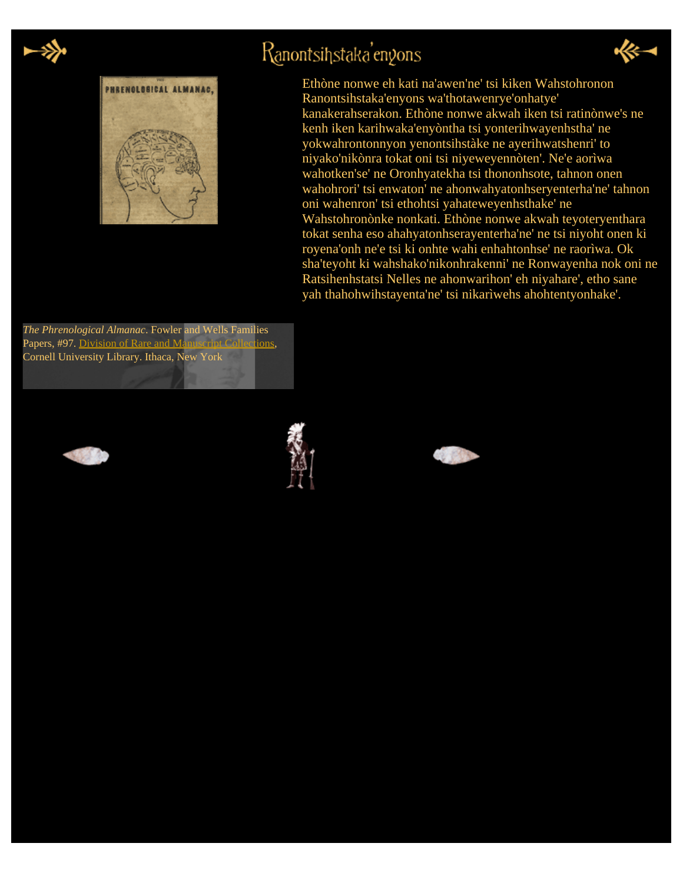

# Ranontsihstaka'engons





Ethòne nonwe eh kati na'awen'ne' tsi kiken Wahstohronon Ranontsihstaka'enyons wa'thotawenrye'onhatye' kanakerahserakon. Ethòne nonwe akwah iken tsi ratinònwe's ne kenh iken karihwaka'enyòntha tsi yonterihwayenhstha' ne yokwahrontonnyon yenontsihstàke ne ayerihwatshenri' to niyako'nikònra tokat oni tsi niyeweyennòten'. Ne'e aorìwa wahotken'se' ne Oronhyatekha tsi thononhsote, tahnon onen wahohrori' tsi enwaton' ne ahonwahyatonhseryenterha'ne' tahnon oni wahenron' tsi ethohtsi yahateweyenhsthake' ne Wahstohronònke nonkati. Ethòne nonwe akwah teyoteryenthara tokat senha eso ahahyatonhserayenterha'ne' ne tsi niyoht onen ki royena'onh ne'e tsi ki onhte wahi enhahtonhse' ne raorìwa. Ok sha'teyoht ki wahshako'nikonhrakenni' ne Ronwayenha nok oni ne Ratsihenhstatsi Nelles ne ahonwarihon' eh niyahare', etho sane yah thahohwihstayenta'ne' tsi nikarìwehs ahohtentyonhake'.

*The Phrenological Almanac*. Fowler and Wells Families Papers, #97. [Division of Rare and Manuscript Collections](http://rmc.library.cornell.edu/), Cornell University Library. Ithaca, New York





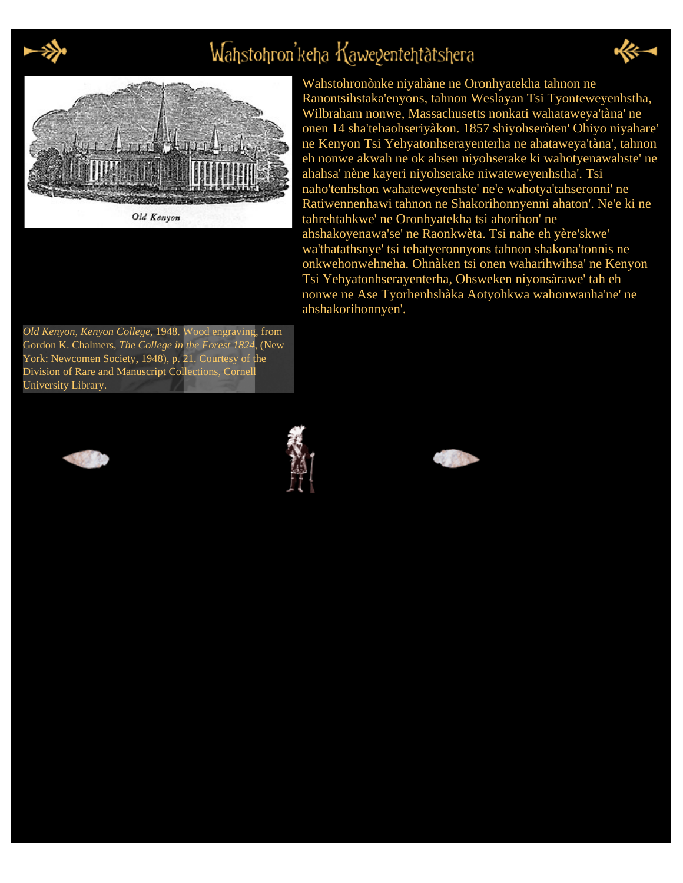

# Wahstohron'keha Kaweyentehtatshera





Old Kenyon

Wahstohronònke niyahàne ne Oronhyatekha tahnon ne Ranontsihstaka'enyons, tahnon Weslayan Tsi Tyonteweyenhstha, Wilbraham nonwe, Massachusetts nonkati wahataweya'tàna' ne onen 14 sha'tehaohseriyàkon. 1857 shiyohseròten' Ohiyo niyahare' ne Kenyon Tsi Yehyatonhserayenterha ne ahataweya'tàna', tahnon eh nonwe akwah ne ok ahsen niyohserake ki wahotyenawahste' ne ahahsa' nène kayeri niyohserake niwateweyenhstha'. Tsi naho'tenhshon wahateweyenhste' ne'e wahotya'tahseronni' ne Ratiwennenhawi tahnon ne Shakorihonnyenni ahaton'. Ne'e ki ne tahrehtahkwe' ne Oronhyatekha tsi ahorihon' ne ahshakoyenawa'se' ne Raonkwèta. Tsi nahe eh yère'skwe' wa'thatathsnye' tsi tehatyeronnyons tahnon shakona'tonnis ne onkwehonwehneha. Ohnàken tsi onen waharihwihsa' ne Kenyon Tsi Yehyatonhserayenterha, Ohsweken niyonsàrawe' tah eh nonwe ne Ase Tyorhenhshàka Aotyohkwa wahonwanha'ne' ne ahshakorihonnyen'.

*Old Kenyon, Kenyon College*, 1948. Wood engraving, from Gordon K. Chalmers, *The College in the Forest 1824*, (New York: Newcomen Society, 1948), p. 21. Courtesy of the Division of Rare and Manuscript Collections, Cornell University Library.





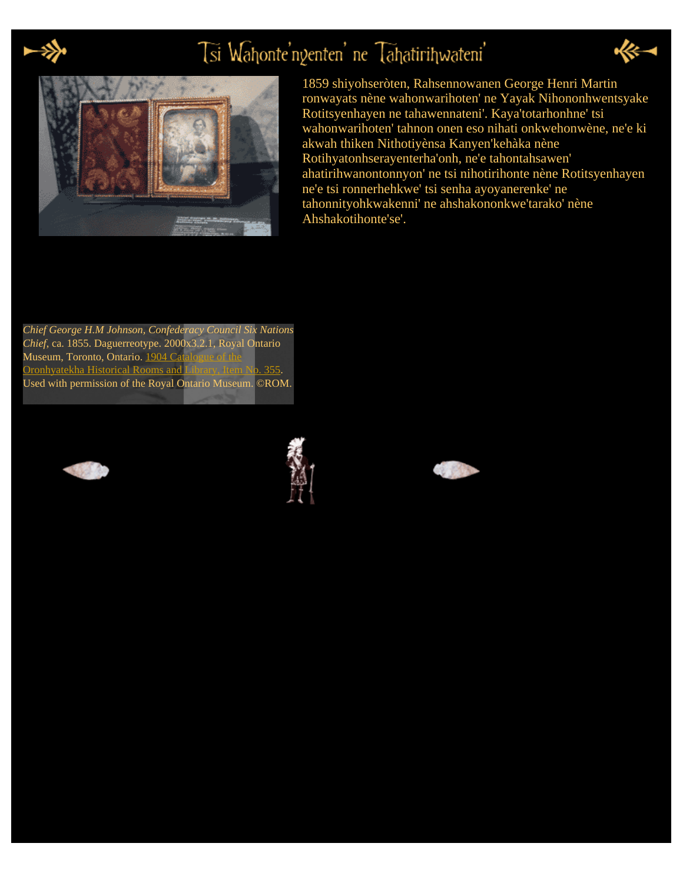

# Tsi Wahonte'ngenten' ne Tahatirihwateni'





1859 shiyohseròten, Rahsennowanen George Henri Martin ronwayats nène wahonwarihoten' ne Yayak Nihononhwentsyake Rotitsyenhayen ne tahawennateni'. Kaya'totarhonhne' tsi wahonwarihoten' tahnon onen eso nihati onkwehonwène, ne'e ki akwah thiken Nithotiyènsa Kanyen'kehàka nène Rotihyatonhserayenterha'onh, ne'e tahontahsawen' ahatirihwanontonnyon' ne tsi nihotirihonte nène Rotitsyenhayen ne'e tsi ronnerhehkwe' tsi senha ayoyanerenke' ne tahonnityohkwakenni' ne ahshakononkwe'tarako' nène Ahshakotihonte'se'.

*Chief George H.M Johnson, Confederacy Council Six Nations Chief*, ca. 1855. Daguerreotype. 2000x3.2.1, Royal Ontario Museum, Toronto, Ontario. 1904 Cat [Oronhyatekha Historical Rooms and Library, Item No. 355](http://cdl.library.cornell.edu/cgi-bin/woodland/docviewer?did=doco&seq=66&frames=1&view=page). Used with permission of the Royal Ontario Museum. ©ROM.





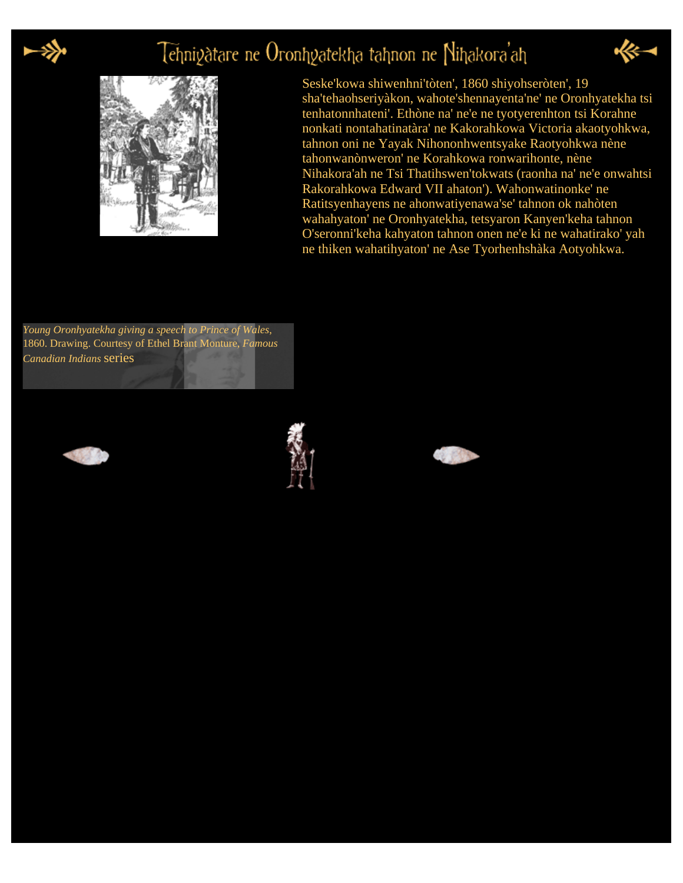

## Tehniyatare ne Oronhyatekha tahnon ne Nihakora'ah



Seske'kowa shiwenhni'tòten', 1860 shiyohseròten', 19 sha'tehaohseriyàkon, wahote'shennayenta'ne' ne Oronhyatekha tsi tenhatonnhateni'. Ethòne na' ne'e ne tyotyerenhton tsi Korahne nonkati nontahatinatàra' ne Kakorahkowa Victoria akaotyohkwa, tahnon oni ne Yayak Nihononhwentsyake Raotyohkwa nène tahonwanònweron' ne Korahkowa ronwarihonte, nène Nihakora'ah ne Tsi Thatihswen'tokwats (raonha na' ne'e onwahtsi Rakorahkowa Edward VII ahaton'). Wahonwatinonke' ne Ratitsyenhayens ne ahonwatiyenawa'se' tahnon ok nahòten wahahyaton' ne Oronhyatekha, tetsyaron Kanyen'keha tahnon O'seronni'keha kahyaton tahnon onen ne'e ki ne wahatirako' yah ne thiken wahatihyaton' ne Ase Tyorhenhshàka Aotyohkwa.

*Young Oronhyatekha giving a speech to Prince of Wales*, 1860. Drawing. Courtesy of Ethel Brant Monture, *Famous Canadian Indians* series





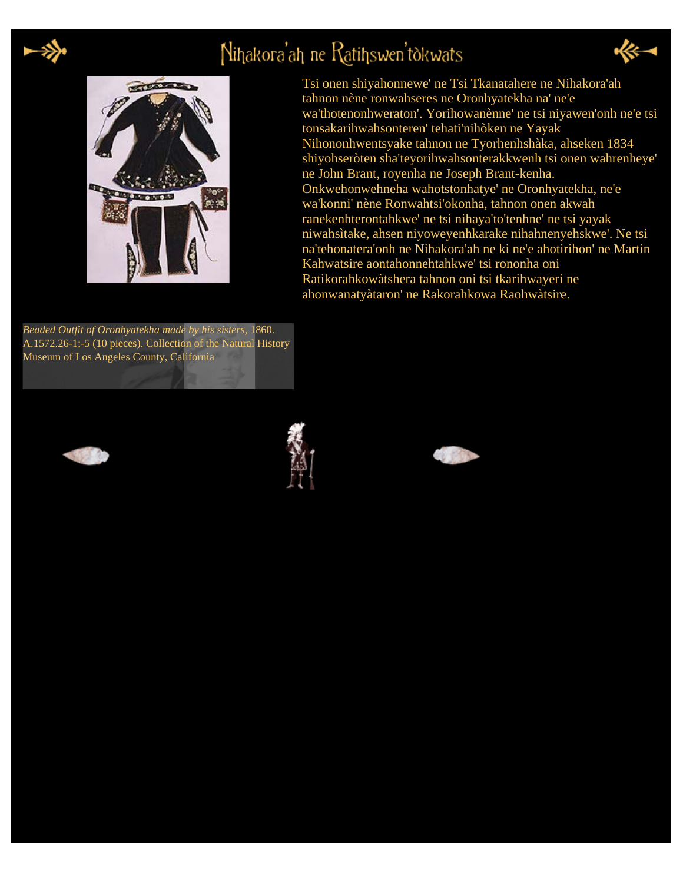

# Nihakora'ah ne Ratihswen'tokwats





Tsi onen shiyahonnewe' ne Tsi Tkanatahere ne Nihakora'ah tahnon nène ronwahseres ne Oronhyatekha na' ne'e wa'thotenonhweraton'. Yorihowanènne' ne tsi niyawen'onh ne'e tsi tonsakarihwahsonteren' tehati'nihòken ne Yayak Nihononhwentsyake tahnon ne Tyorhenhshàka, ahseken 1834 shiyohseròten sha'teyorihwahsonterakkwenh tsi onen wahrenheye' ne John Brant, royenha ne Joseph Brant-kenha. Onkwehonwehneha wahotstonhatye' ne Oronhyatekha, ne'e wa'konni' nène Ronwahtsi'okonha, tahnon onen akwah ranekenhterontahkwe' ne tsi nihaya'to'tenhne' ne tsi yayak niwahsìtake, ahsen niyoweyenhkarake nihahnenyehskwe'. Ne tsi na'tehonatera'onh ne Nihakora'ah ne ki ne'e ahotirihon' ne Martin Kahwatsire aontahonnehtahkwe' tsi rononha oni Ratikorahkowàtshera tahnon oni tsi tkarihwayeri ne ahonwanatyàtaron' ne Rakorahkowa Raohwàtsire.

*Beaded Outfit of Oronhyatekha made by his sisters*, 1860. A.1572.26-1;-5 (10 pieces). Collection of the Natural History Museum of Los Angeles County, California





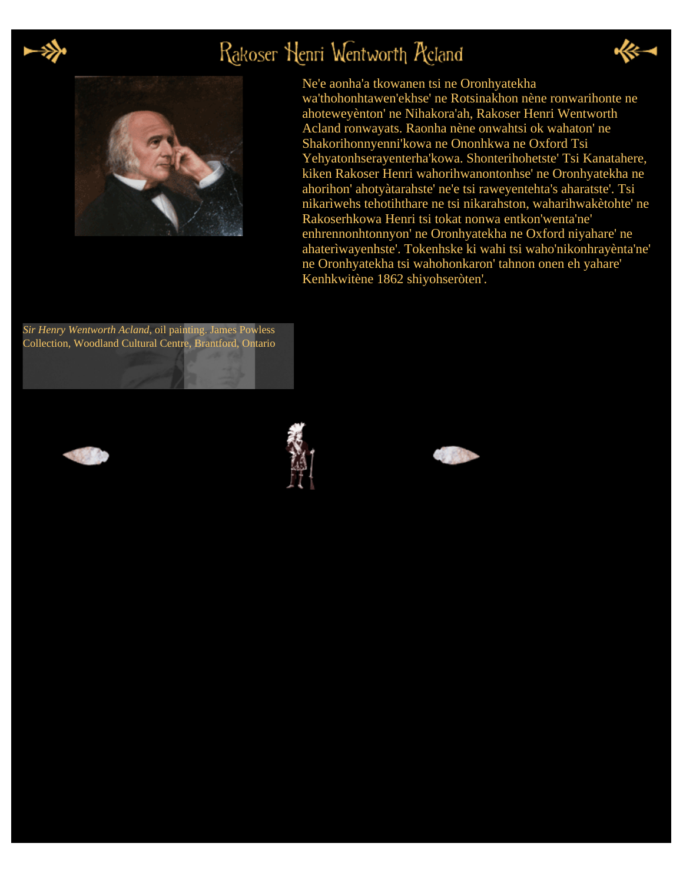

# Rakoser Henri Wentworth Reland





#### Ne'e aonha'a tkowanen tsi ne Oronhyatekha

wa'thohonhtawen'ekhse' ne Rotsinakhon nène ronwarihonte ne ahoteweyènton' ne Nihakora'ah, Rakoser Henri Wentworth Acland ronwayats. Raonha nène onwahtsi ok wahaton' ne Shakorihonnyenni'kowa ne Ononhkwa ne Oxford Tsi Yehyatonhserayenterha'kowa. Shonterihohetste' Tsi Kanatahere, kiken Rakoser Henri wahorihwanontonhse' ne Oronhyatekha ne ahorihon' ahotyàtarahste' ne'e tsi raweyentehta's aharatste'. Tsi nikarìwehs tehotihthare ne tsi nikarahston, waharihwakètohte' ne Rakoserhkowa Henri tsi tokat nonwa entkon'wenta'ne' enhrennonhtonnyon' ne Oronhyatekha ne Oxford niyahare' ne ahaterìwayenhste'. Tokenhske ki wahi tsi waho'nikonhrayènta'ne' ne Oronhyatekha tsi wahohonkaron' tahnon onen eh yahare' Kenhkwitène 1862 shiyohseròten'.

*Sir Henry Wentworth Acland*, oil painting. James Powless Collection, Woodland Cultural Centre, Brantford, Ontario





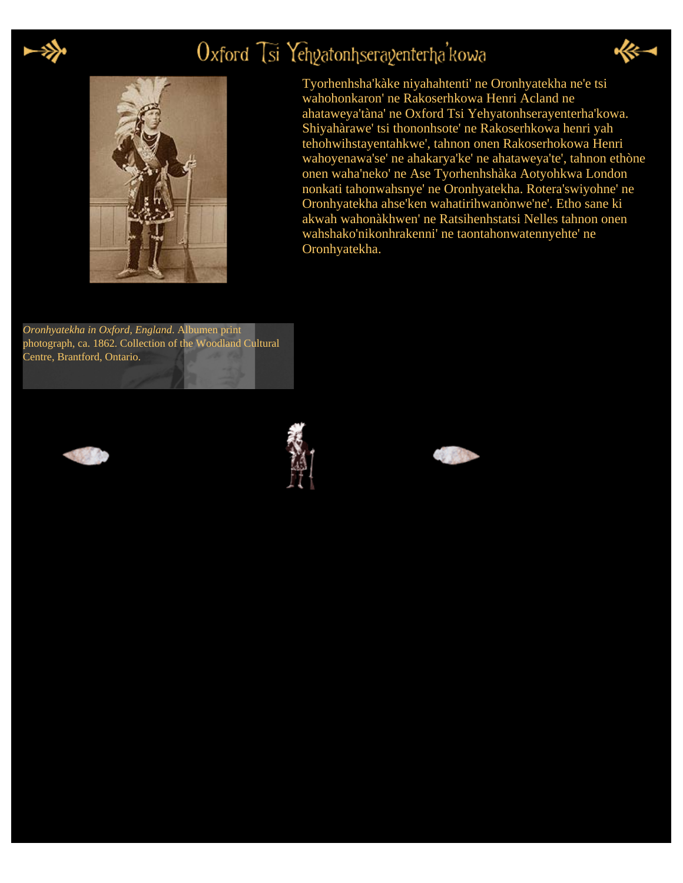

## Oxford Tsi Yehgatonhseragenterha'kowa



Tyorhenhsha'kàke niyahahtenti' ne Oronhyatekha ne'e tsi wahohonkaron' ne Rakoserhkowa Henri Acland ne ahataweya'tàna' ne Oxford Tsi Yehyatonhserayenterha'kowa. Shiyahàrawe' tsi thononhsote' ne Rakoserhkowa henri yah tehohwihstayentahkwe', tahnon onen Rakoserhokowa Henri wahoyenawa'se' ne ahakarya'ke' ne ahataweya'te', tahnon ethòne onen waha'neko' ne Ase Tyorhenhshàka Aotyohkwa London nonkati tahonwahsnye' ne Oronhyatekha. Rotera'swiyohne' ne Oronhyatekha ahse'ken wahatirihwanònwe'ne'. Etho sane ki akwah wahonàkhwen' ne Ratsihenhstatsi Nelles tahnon onen wahshako'nikonhrakenni' ne taontahonwatennyehte' ne Oronhyatekha.

*Oronhyatekha in Oxford, England*. Albumen print photograph, ca. 1862. Collection of the Woodland Cultural Centre, Brantford, Ontario.





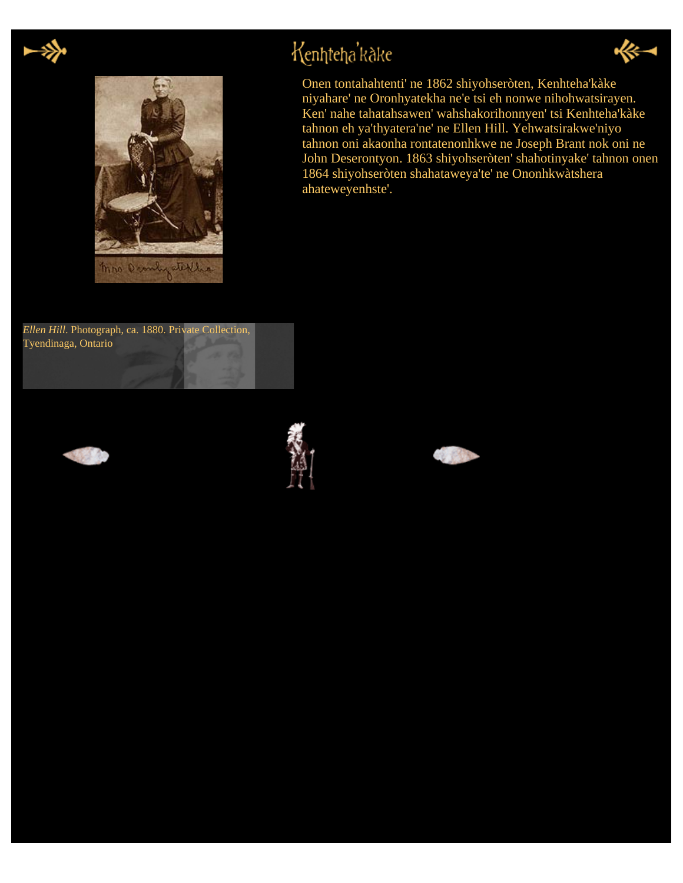



Kenhteha'kake









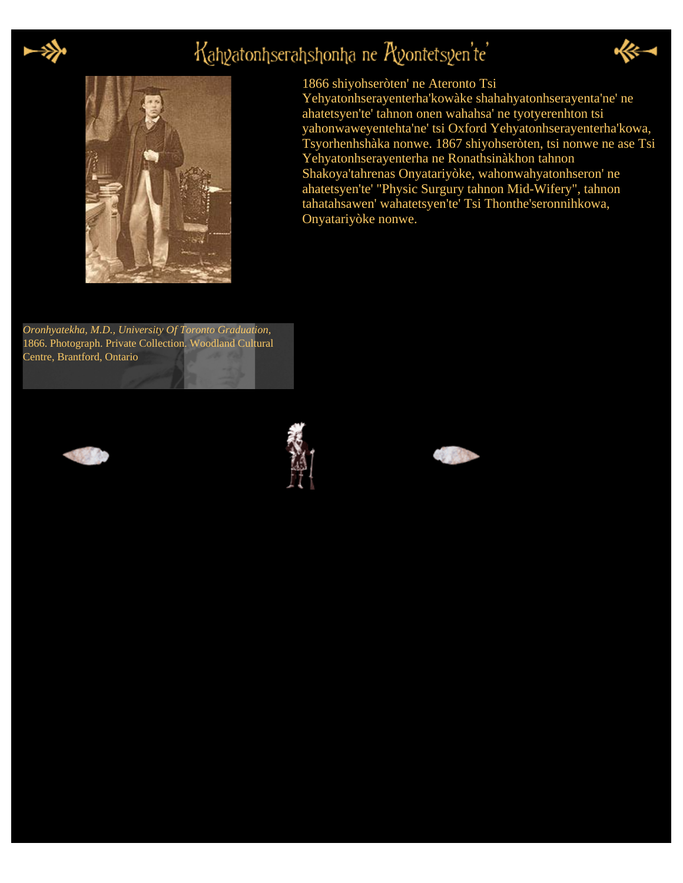

# Kahyatonhserahshonha ne Ayontetsyen'te'





#### 1866 shiyohseròten' ne Ateronto Tsi

Yehyatonhserayenterha'kowàke shahahyatonhserayenta'ne' ne ahatetsyen'te' tahnon onen wahahsa' ne tyotyerenhton tsi yahonwaweyentehta'ne' tsi Oxford Yehyatonhserayenterha'kowa, Tsyorhenhshàka nonwe. 1867 shiyohseròten, tsi nonwe ne ase Tsi Yehyatonhserayenterha ne Ronathsinàkhon tahnon Shakoya'tahrenas Onyatariyòke, wahonwahyatonhseron' ne ahatetsyen'te' "Physic Surgury tahnon Mid-Wifery", tahnon tahatahsawen' wahatetsyen'te' Tsi Thonthe'seronnihkowa, Onyatariyòke nonwe.

*Oronhyatekha, M.D., University Of Toronto Graduation,* 1866. Photograph. Private Collection. Woodland Cultural Centre, Brantford, Ontario





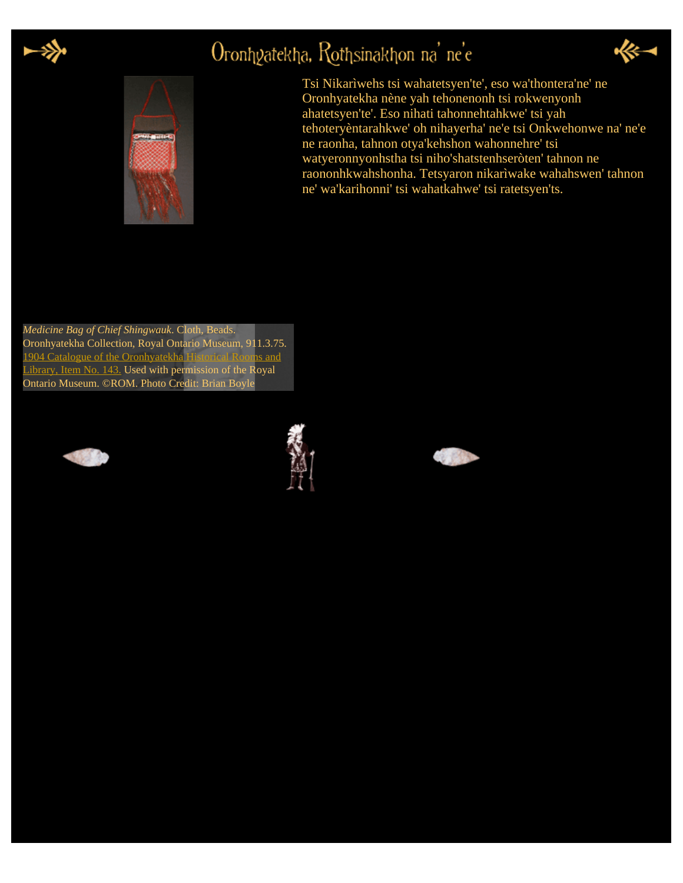

# Oronhyatekha, Rothsinakhon na' ne'e



Tsi Nikarìwehs tsi wahatetsyen'te', eso wa'thontera'ne' ne Oronhyatekha nène yah tehonenonh tsi rokwenyonh ahatetsyen'te'. Eso nihati tahonnehtahkwe' tsi yah tehoteryèntarahkwe' oh nihayerha' ne'e tsi Onkwehonwe na' ne'e ne raonha, tahnon otya'kehshon wahonnehre' tsi watyeronnyonhstha tsi niho'shatstenhseròten' tahnon ne raononhkwahshonha. Tetsyaron nikarìwake wahahswen' tahnon ne' wa'karihonni' tsi wahatkahwe' tsi ratetsyen'ts.

*Medicine Bag of Chief Shingwauk*. Cloth, Beads. Oronhyatekha Collection, Royal Ontario Museum, 911.3.75. [1904 Catalogue of the Oronhyatekha Historical Rooms and](http://cdl.library.cornell.edu/cgi-bin/woodland/docviewer?did=doco&seq=&view=page&frames=1&pagenum=32) [Library, Item No. 143.](http://cdl.library.cornell.edu/cgi-bin/woodland/docviewer?did=doco&seq=&view=page&frames=1&pagenum=32) Used with permission of the Royal Ontario Museum. ©ROM. Photo Credit: Brian Boyle





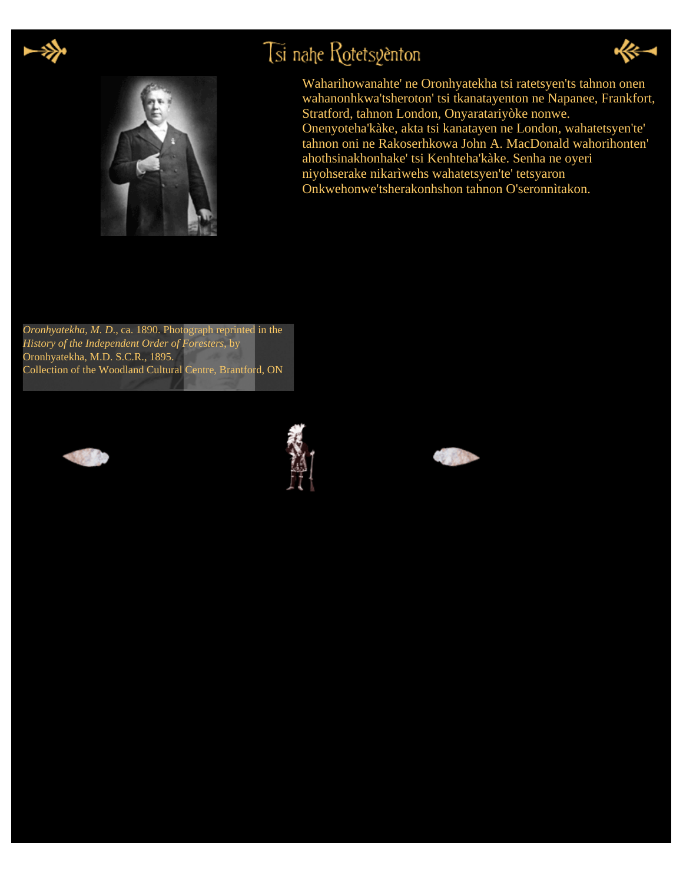

# Tsi nahe Rotetsyenton





Waharihowanahte' ne Oronhyatekha tsi ratetsyen'ts tahnon onen wahanonhkwa'tsheroton' tsi tkanatayenton ne Napanee, Frankfort, Stratford, tahnon London, Onyaratariyòke nonwe. Onenyoteha'kàke, akta tsi kanatayen ne London, wahatetsyen'te' tahnon oni ne Rakoserhkowa John A. MacDonald wahorihonten' ahothsinakhonhake' tsi Kenhteha'kàke. Senha ne oyeri niyohserake nikarìwehs wahatetsyen'te' tetsyaron Onkwehonwe'tsherakonhshon tahnon O'seronnìtakon.

*Oronhyatekha, M. D*., ca. 1890. Photograph reprinted in the *History of the Independent Order of Foresters*, by Oronhyatekha, M.D. S.C.R., 1895. Collection of the Woodland Cultural Centre, Brantford, ON





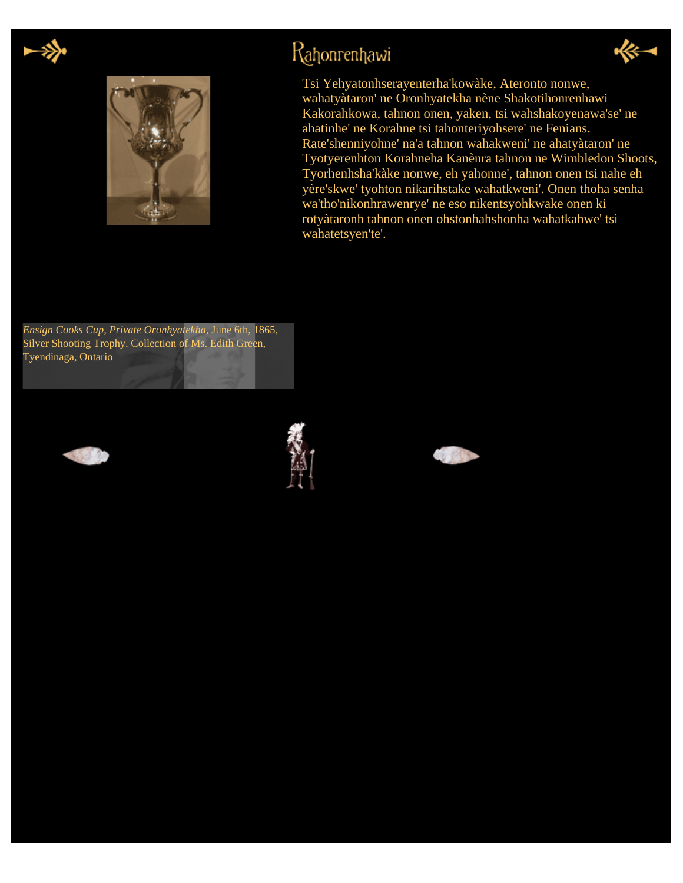



### Rahonrenhawi



Tsi Yehyatonhserayenterha'kowàke, Ateronto nonwe, wahatyàtaron' ne Oronhyatekha nène Shakotihonrenhawi Kakorahkowa, tahnon onen, yaken, tsi wahshakoyenawa'se' ne ahatinhe' ne Korahne tsi tahonteriyohsere' ne Fenians. Rate'shenniyohne' na'a tahnon wahakweni' ne ahatyàtaron' ne Tyotyerenhton Korahneha Kanènra tahnon ne Wimbledon Shoots, Tyorhenhsha'kàke nonwe, eh yahonne', tahnon onen tsi nahe eh yère'skwe' tyohton nikarihstake wahatkweni'. Onen thoha senha wa'tho'nikonhrawenrye' ne eso nikentsyohkwake onen ki rotyàtaronh tahnon onen ohstonhahshonha wahatkahwe' tsi wahatetsyen'te'.

*Ensign Cooks Cup, Private Oronhyatekha*, June 6th, 1865, Silver Shooting Trophy. Collection of Ms. Edith Green, Tyendinaga, Ontario





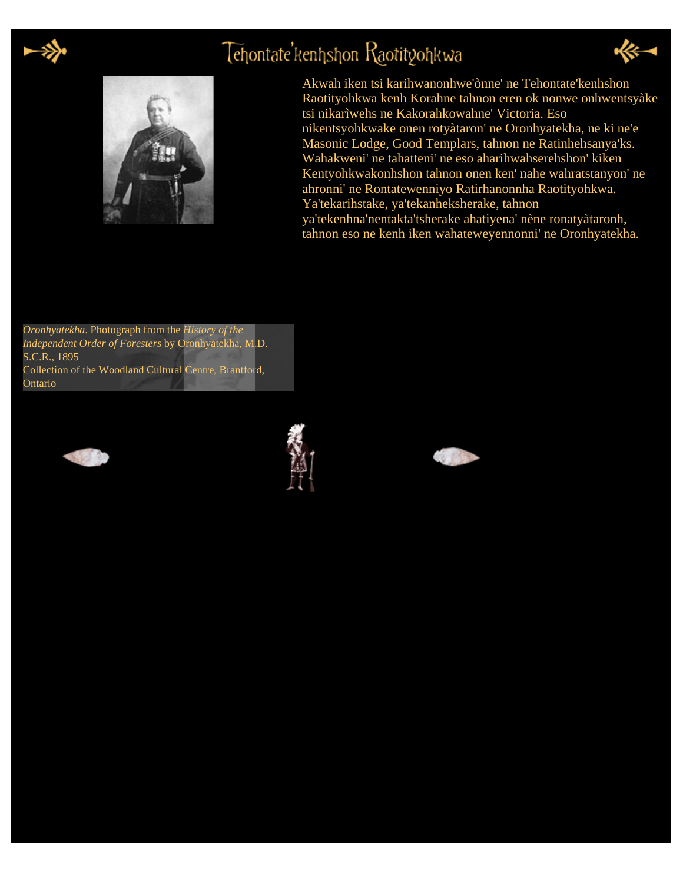

## Tehontate'kenhshon Raotityohkwa





Akwah iken tsi karihwanonhwe'ònne' ne Tehontate'kenhshon Raotityohkwa kenh Korahne tahnon eren ok nonwe onhwentsyàke tsi nikarìwehs ne Kakorahkowahne' Victoria. Eso nikentsyohkwake onen rotyàtaron' ne Oronhyatekha, ne ki ne'e Masonic Lodge, Good Templars, tahnon ne Ratinhehsanya'ks. Wahakweni' ne tahatteni' ne eso aharihwahserehshon' kiken Kentyohkwakonhshon tahnon onen ken' nahe wahratstanyon' ne ahronni' ne Rontatewenniyo Ratirhanonnha Raotityohkwa. Ya'tekarihstake, ya'tekanheksherake, tahnon ya'tekenhna'nentakta'tsherake ahatiyena' nène ronatyàtaronh,

tahnon eso ne kenh iken wahateweyennonni' ne Oronhyatekha.

*Oronhyatekha*. Photograph from the *History of the Independent Order of Foresters* by Oronhyatekha, M.D. S.C.R., 1895 Collection of the Woodland Cultural Centre, Brantford, Ontario





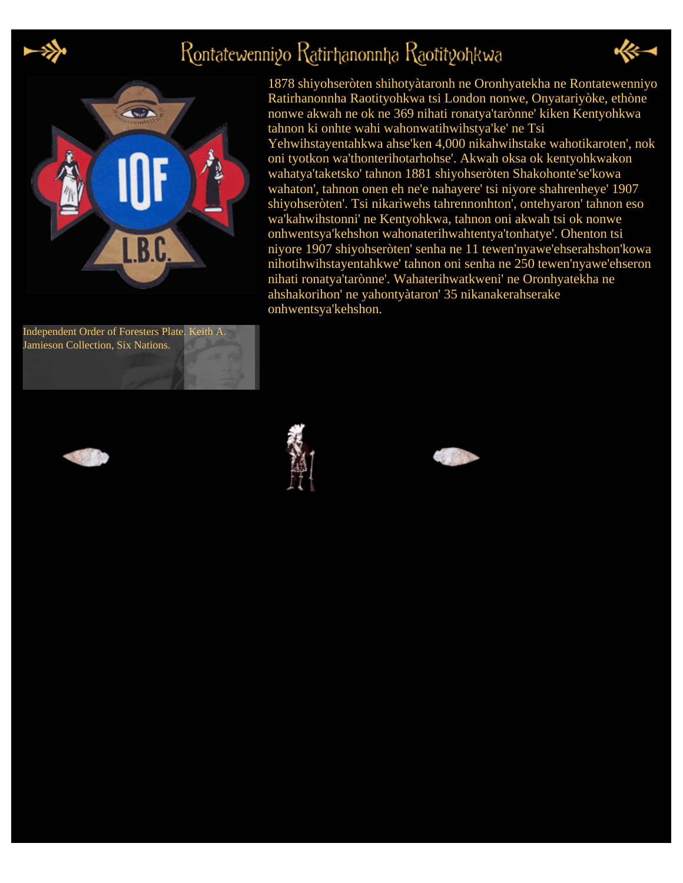

# Rontatewennigo Ratirhanonnha Raotitgohkwa



Independent Order of Foresters Plate. Keith A. Jamieson Collection, Six Nations.

1878 shiyohseròten shihotyàtaronh ne Oronhyatekha ne Rontatewenniyo Ratirhanonnha Raotityohkwa tsi London nonwe, Onyatariyòke, ethòne nonwe akwah ne ok ne 369 nihati ronatya'tarònne' kiken Kentyohkwa tahnon ki onhte wahi wahonwatihwihstya'ke' ne Tsi Yehwihstayentahkwa ahse'ken 4,000 nikahwihstake wahotikaroten', nok oni tyotkon wa'thonterihotarhohse'. Akwah oksa ok kentyohkwakon wahatya'taketsko' tahnon 1881 shiyohseròten Shakohonte'se'kowa wahaton', tahnon onen eh ne'e nahayere' tsi niyore shahrenheye' 1907 shiyohseròten'. Tsi nikarìwehs tahrennonhton', ontehyaron' tahnon eso wa'kahwihstonni' ne Kentyohkwa, tahnon oni akwah tsi ok nonwe onhwentsya'kehshon wahonaterihwahtentya'tonhatye'. Ohenton tsi niyore 1907 shiyohseròten' senha ne 11 tewen'nyawe'ehserahshon'kowa nihotihwihstayentahkwe' tahnon oni senha ne 250 tewen'nyawe'ehseron nihati ronatya'tarònne'. Wahaterihwatkweni' ne Oronhyatekha ne ahshakorihon' ne yahontyàtaron' 35 nikanakerahserake onhwentsya'kehshon.





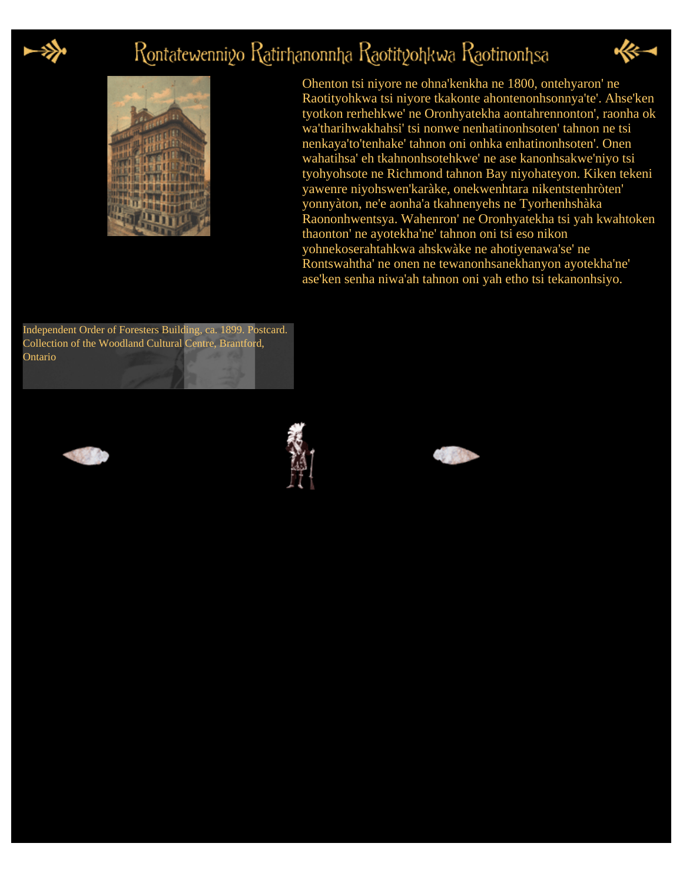

## Rontatewenniyo Ratirhanonnha Raotityohkwa Raotinonhsa



Ohenton tsi niyore ne ohna'kenkha ne 1800, ontehyaron' ne Raotityohkwa tsi niyore tkakonte ahontenonhsonnya'te'. Ahse'ken tyotkon rerhehkwe' ne Oronhyatekha aontahrennonton', raonha ok wa'tharihwakhahsi' tsi nonwe nenhatinonhsoten' tahnon ne tsi nenkaya'to'tenhake' tahnon oni onhka enhatinonhsoten'. Onen wahatihsa' eh tkahnonhsotehkwe' ne ase kanonhsakwe'niyo tsi tyohyohsote ne Richmond tahnon Bay niyohateyon. Kiken tekeni yawenre niyohswen'karàke, onekwenhtara nikentstenhròten' yonnyàton, ne'e aonha'a tkahnenyehs ne Tyorhenhshàka Raononhwentsya. Wahenron' ne Oronhyatekha tsi yah kwahtoken thaonton' ne ayotekha'ne' tahnon oni tsi eso nikon yohnekoserahtahkwa ahskwàke ne ahotiyenawa'se' ne Rontswahtha' ne onen ne tewanonhsanekhanyon ayotekha'ne' ase'ken senha niwa'ah tahnon oni yah etho tsi tekanonhsiyo.

Independent Order of Foresters Building, ca. 1899. Postcard. Collection of the Woodland Cultural Centre, Brantford, Ontario





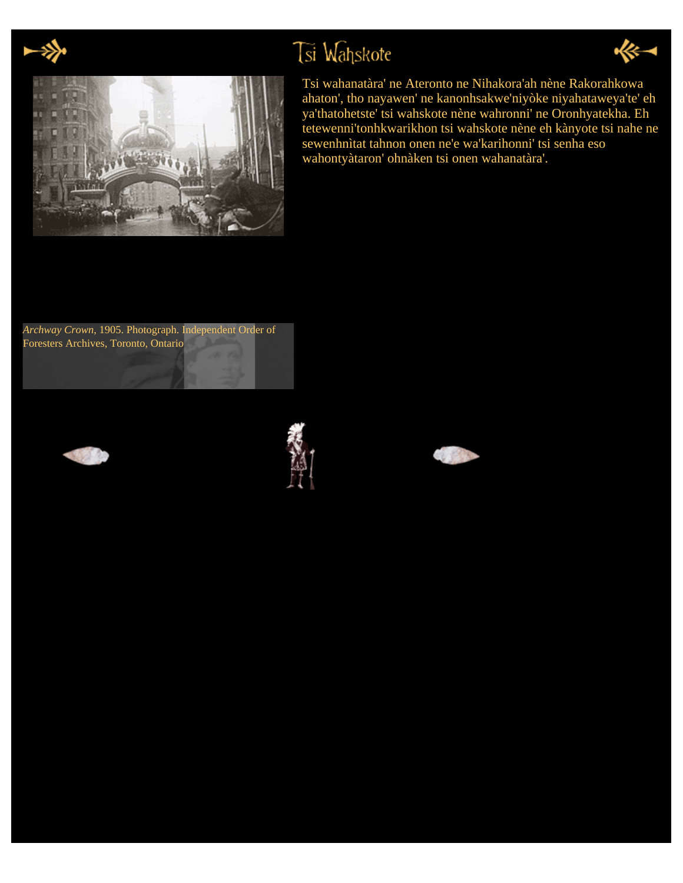

# Tsi Wahskote





Tsi wahanatàra' ne Ateronto ne Nihakora'ah nène Rakorahkowa ahaton', tho nayawen' ne kanonhsakwe'niyòke niyahataweya'te' eh ya'thatohetste' tsi wahskote nène wahronni' ne Oronhyatekha. Eh tetewenni'tonhkwarikhon tsi wahskote nène eh kànyote tsi nahe ne sewenhnìtat tahnon onen ne'e wa'karihonni' tsi senha eso wahontyàtaron' ohnàken tsi onen wahanatàra'.

*Archway Crown*, 1905. Photograph. Independent Order of Foresters Archives, Toronto, Ontario





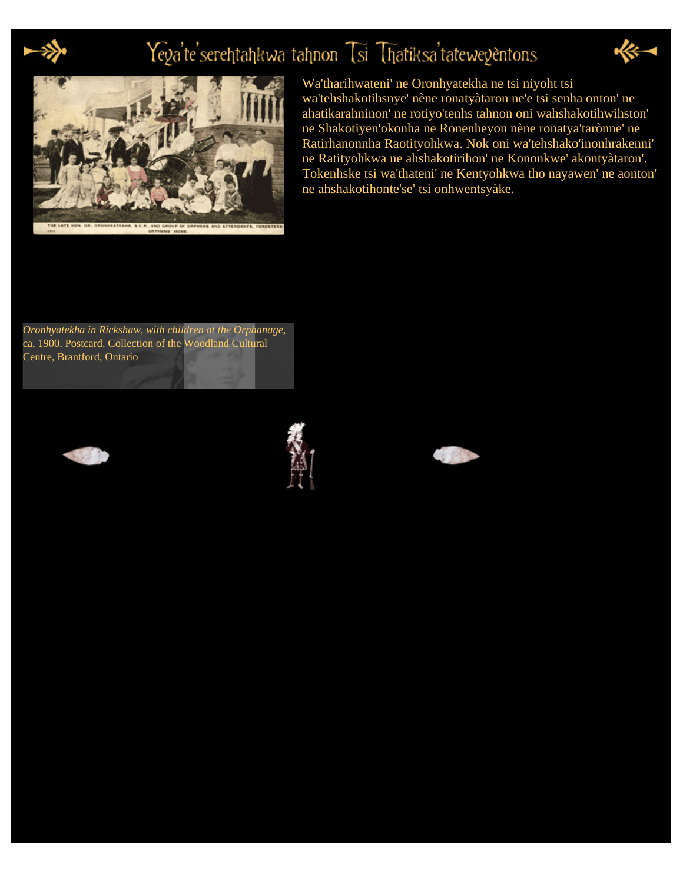

# Yeya'te'serehtahkwa tahnon Tsi Thatiksa'tateweyentons





Wa'tharihwateni' ne Oronhyatekha ne tsi niyoht tsi wa'tehshakotihsnye' nène ronatyàtaron ne'e tsi senha onton' ne ahatikarahninon' ne rotiyo'tenhs tahnon oni wahshakotihwihston' ne Shakotiyen'okonha ne Ronenheyon nène ronatya'tarònne' ne Ratirhanonnha Raotityohkwa. Nok oni wa'tehshako'inonhrakenni' ne Ratityohkwa ne ahshakotirihon' ne Kononkwe' akontyàtaron'. Tokenhske tsi wa'thateni' ne Kentyohkwa tho nayawen' ne aonton' ne ahshakotihonte'se' tsi onhwentsyàke.

*Oronhyatekha in Rickshaw, with children at the Orphanage*, ca, 1900. Postcard. Collection of the Woodland Cultural Centre, Brantford, Ontario





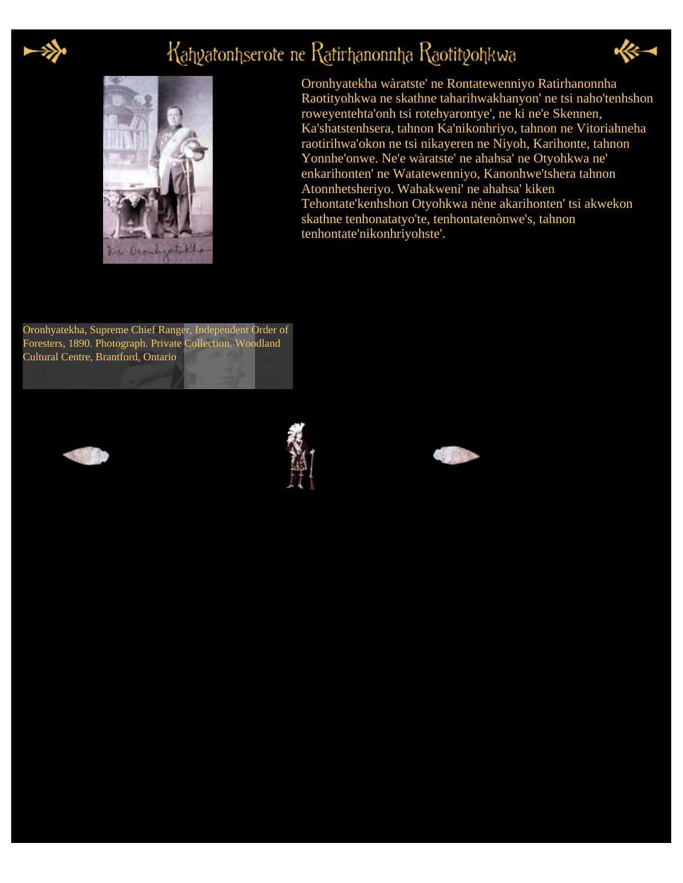

# Kahyatonhserote ne Ratirhanonnha Raotityohkwa



Oronhyatekha wàratste' ne Rontatewenniyo Ratirhanonnha Raotityohkwa ne skathne taharihwakhanyon' ne tsi naho'tenhshon roweyentehta'onh tsi rotehyarontye', ne ki ne'e Skennen, Ka'shatstenhsera, tahnon Ka'nikonhriyo, tahnon ne Vitoriahneha raotirihwa'okon ne tsi nikayeren ne Niyoh, Karihonte, tahnon Yonnhe'onwe. Ne'e wàratste' ne ahahsa' ne Otyohkwa ne' enkarihonten' ne Watatewenniyo, Kanonhwe'tshera tahnon Atonnhetsheriyo. Wahakweni' ne ahahsa' kiken Tehontate'kenhshon Otyohkwa nène akarihonten' tsi akwekon skathne tenhonatatyo'te, tenhontatenònwe's, tahnon tenhontate'nikonhriyohste'.

Oronhyatekha, Supreme Chief Ranger, Independent Order of Foresters, 1890. Photograph. Private Collection. Woodland Cultural Centre, Brantford, Ontario





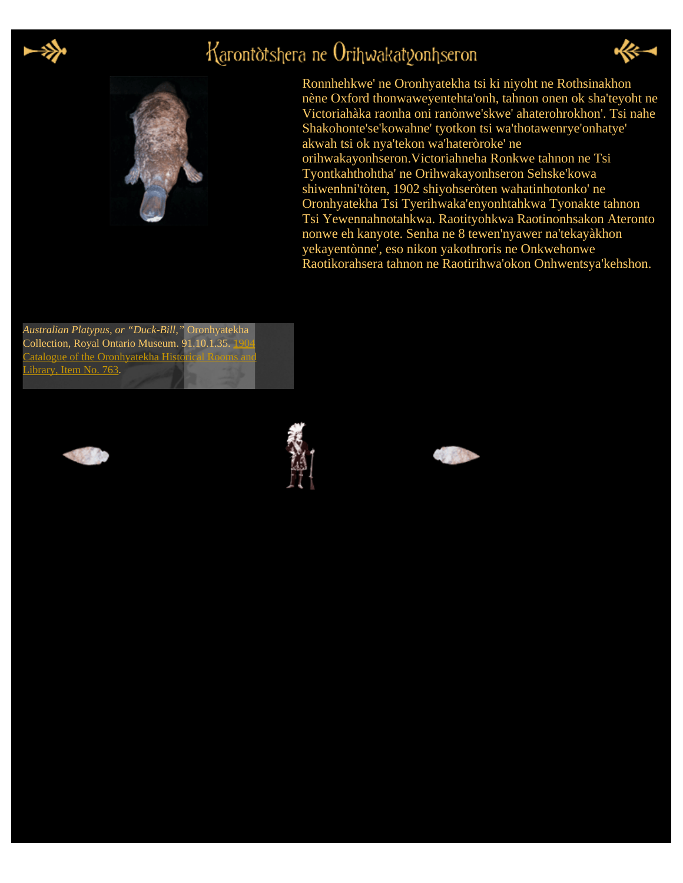

### Karontòtshera ne Orihwakatgonhseron



Ronnhehkwe' ne Oronhyatekha tsi ki niyoht ne Rothsinakhon nène Oxford thonwaweyentehta'onh, tahnon onen ok sha'teyoht ne Victoriahàka raonha oni ranònwe'skwe' ahaterohrokhon'. Tsi nahe Shakohonte'se'kowahne' tyotkon tsi wa'thotawenrye'onhatye' akwah tsi ok nya'tekon wa'hateròroke' ne orihwakayonhseron.Victoriahneha Ronkwe tahnon ne Tsi Tyontkahthohtha' ne Orihwakayonhseron Sehske'kowa shiwenhni'tòten, 1902 shiyohseròten wahatinhotonko' ne Oronhyatekha Tsi Tyerihwaka'enyonhtahkwa Tyonakte tahnon Tsi Yewennahnotahkwa. Raotityohkwa Raotinonhsakon Ateronto nonwe eh kanyote. Senha ne 8 tewen'nyawer na'tekayàkhon yekayentònne', eso nikon yakothroris ne Onkwehonwe Raotikorahsera tahnon ne Raotirihwa'okon Onhwentsya'kehshon.

*Australian Platypus, or "Duck-Bill,"* Oronhyatekha Collection, Royal Ontario Museum. 91.10.1.35. 19 **Catalogue of the Oronhyatekha Historical Rooms a** [Library, Item No. 763.](http://cdl.library.cornell.edu/cgi-bin/woodland/docviewer?did=doco&seq=117&view=page&frames=1)





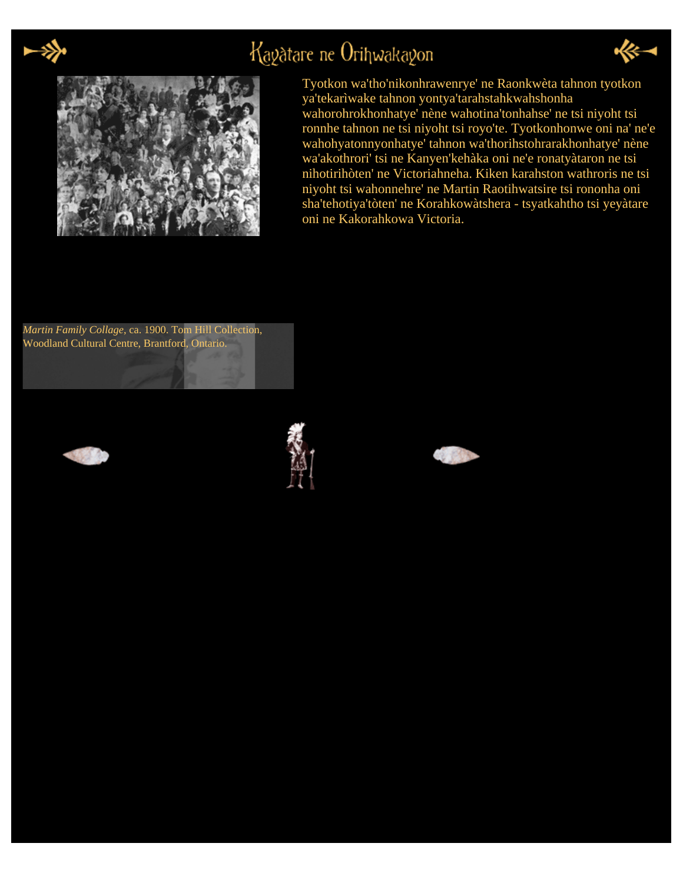

# Kagatare ne Orihwakagon





Tyotkon wa'tho'nikonhrawenrye' ne Raonkwèta tahnon tyotkon ya'tekarìwake tahnon yontya'tarahstahkwahshonha wahorohrokhonhatye' nène wahotina'tonhahse' ne tsi niyoht tsi ronnhe tahnon ne tsi niyoht tsi royo'te. Tyotkonhonwe oni na' ne'e wahohyatonnyonhatye' tahnon wa'thorihstohrarakhonhatye' nène wa'akothrori' tsi ne Kanyen'kehàka oni ne'e ronatyàtaron ne tsi nihotirihòten' ne Victoriahneha. Kiken karahston wathroris ne tsi niyoht tsi wahonnehre' ne Martin Raotihwatsire tsi rononha oni sha'tehotiya'tòten' ne Korahkowàtshera - tsyatkahtho tsi yeyàtare oni ne Kakorahkowa Victoria.

*Martin Family Collage*, ca. 1900. Tom Hill Collection, Woodland Cultural Centre, Brantford, Ontario.





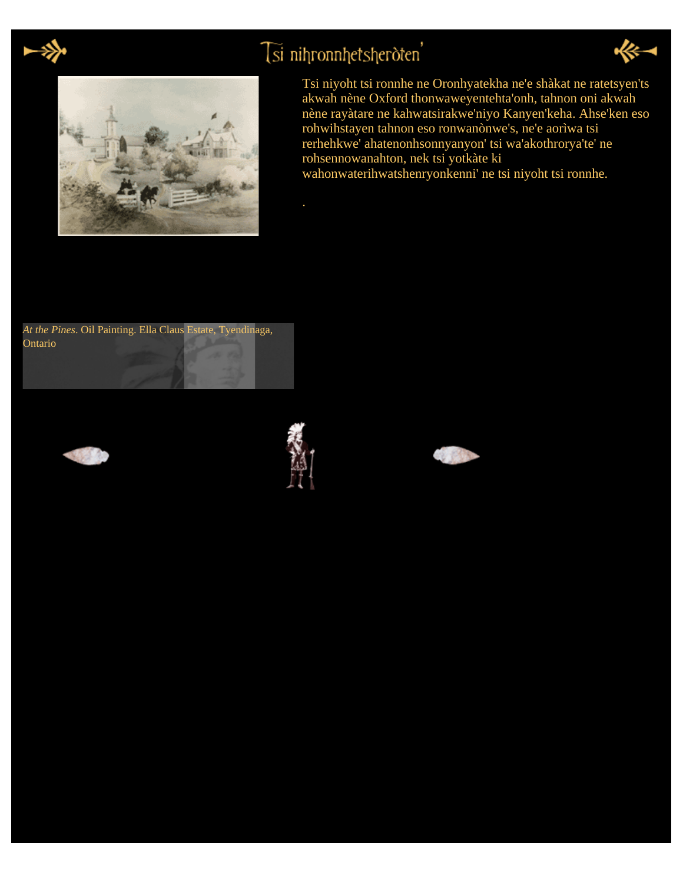

# Tsi nihronnhetsheroten'





Tsi niyoht tsi ronnhe ne Oronhyatekha ne'e shàkat ne ratetsyen'ts akwah nène Oxford thonwaweyentehta'onh, tahnon oni akwah nène rayàtare ne kahwatsirakwe'niyo Kanyen'keha. Ahse'ken eso rohwihstayen tahnon eso ronwanònwe's, ne'e aorìwa tsi rerhehkwe' ahatenonhsonnyanyon' tsi wa'akothrorya'te' ne rohsennowanahton, nek tsi yotkàte ki wahonwaterihwatshenryonkenni' ne tsi niyoht tsi ronnhe.

*At the Pines*. Oil Painting. Ella Claus Estate, Tyendinaga, Ontario





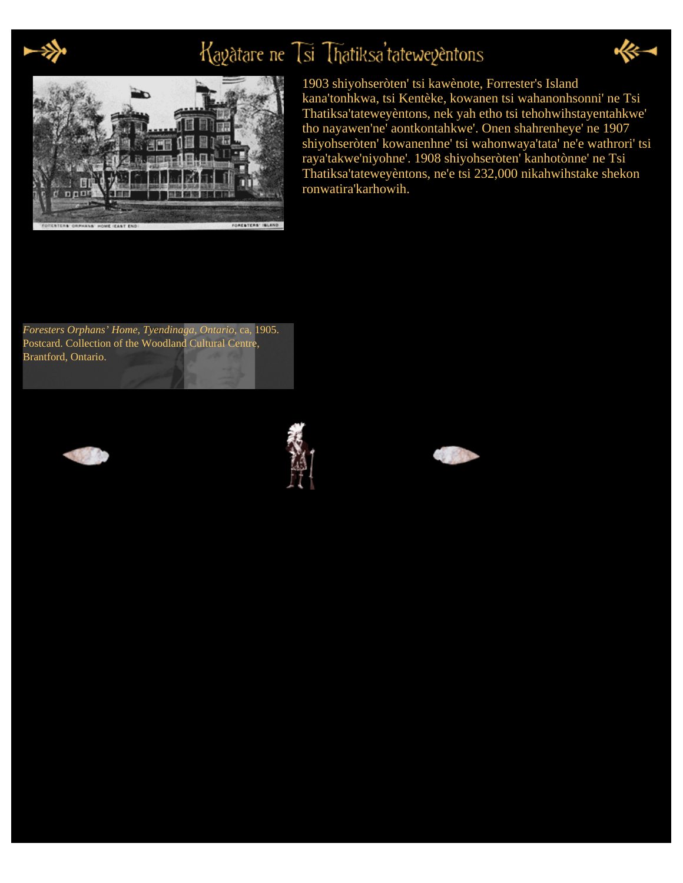

# Kayatare ne Tsi Thatiksa'tateweyentons





1903 shiyohseròten' tsi kawènote, Forrester's Island kana'tonhkwa, tsi Kentèke, kowanen tsi wahanonhsonni' ne Tsi Thatiksa'tateweyèntons, nek yah etho tsi tehohwihstayentahkwe' tho nayawen'ne' aontkontahkwe'. Onen shahrenheye' ne 1907 shiyohseròten' kowanenhne' tsi wahonwaya'tata' ne'e wathrori' tsi raya'takwe'niyohne'. 1908 shiyohseròten' kanhotònne' ne Tsi Thatiksa'tateweyèntons, ne'e tsi 232,000 nikahwihstake shekon ronwatira'karhowih.

*Foresters Orphans' Home, Tyendinaga, Ontario*, ca, 1905. Postcard. Collection of the Woodland Cultural Centre, Brantford, Ontario.





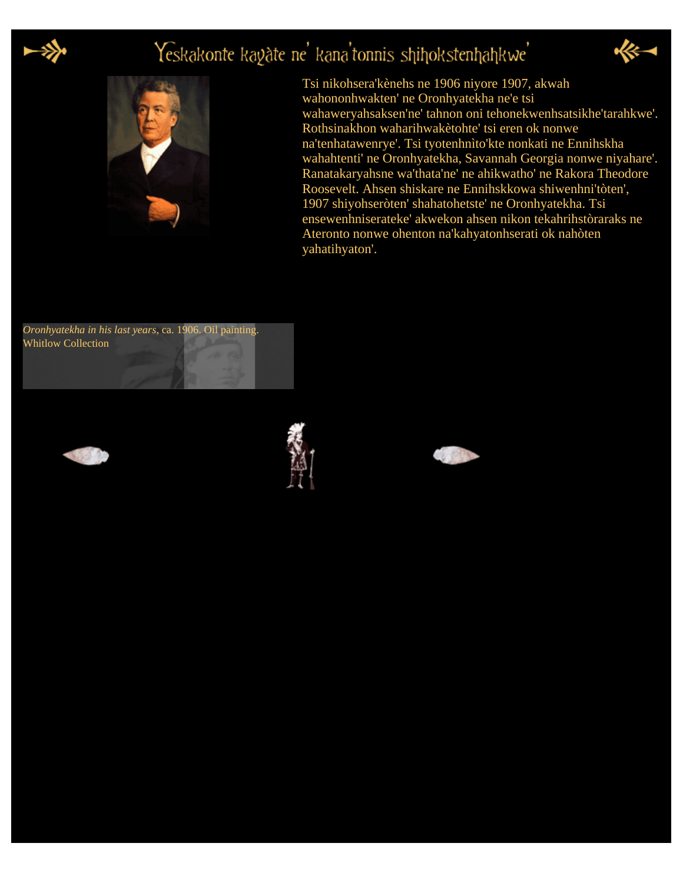

# Yeskakonte kayàte ne' kana'tonnis shihokstenhahkwe'



Tsi nikohsera'kènehs ne 1906 niyore 1907, akwah wahononhwakten' ne Oronhyatekha ne'e tsi wahaweryahsaksen'ne' tahnon oni tehonekwenhsatsikhe'tarahkwe'. Rothsinakhon waharihwakètohte' tsi eren ok nonwe na'tenhatawenrye'. Tsi tyotenhnìto'kte nonkati ne Ennihskha wahahtenti' ne Oronhyatekha, Savannah Georgia nonwe niyahare'. Ranatakaryahsne wa'thata'ne' ne ahikwatho' ne Rakora Theodore Roosevelt. Ahsen shiskare ne Ennihskkowa shiwenhni'tòten', 1907 shiyohseròten' shahatohetste' ne Oronhyatekha. Tsi ensewenhniserateke' akwekon ahsen nikon tekahrihstòraraks ne Ateronto nonwe ohenton na'kahyatonhserati ok nahòten yahatihyaton'.







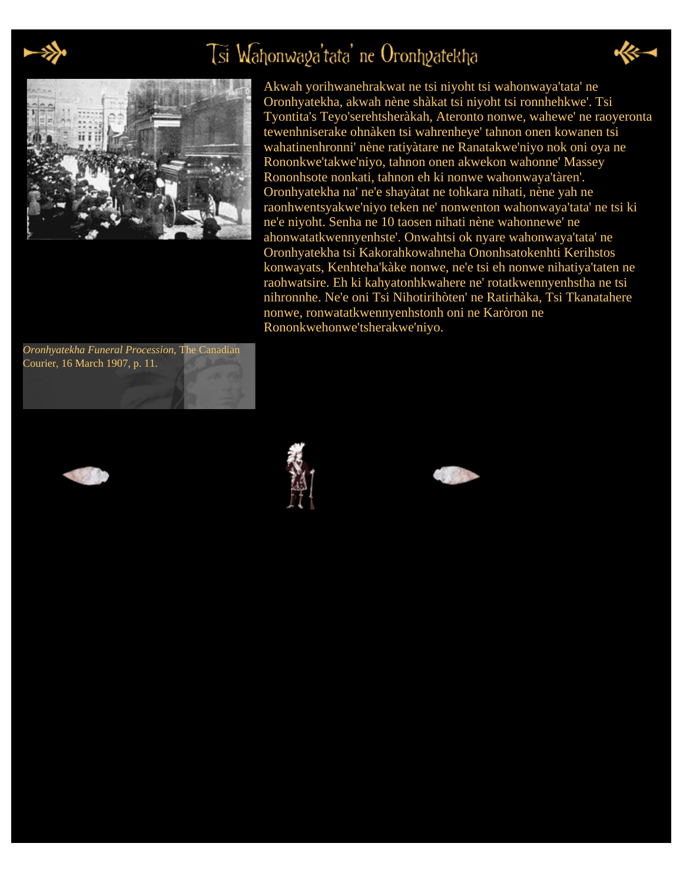

# Tsi Wahonwaga'tata' ne Oronhgatekha





Akwah yorihwanehrakwat ne tsi niyoht tsi wahonwaya'tata' ne Oronhyatekha, akwah nène shàkat tsi niyoht tsi ronnhehkwe'. Tsi Tyontita's Teyo'serehtsheràkah, Ateronto nonwe, wahewe' ne raoyeronta tewenhniserake ohnàken tsi wahrenheye' tahnon onen kowanen tsi wahatinenhronni' nène ratiyàtare ne Ranatakwe'niyo nok oni oya ne Rononkwe'takwe'niyo, tahnon onen akwekon wahonne' Massey Rononhsote nonkati, tahnon eh ki nonwe wahonwaya'tàren'. Oronhyatekha na' ne'e shayàtat ne tohkara nihati, nène yah ne raonhwentsyakwe'niyo teken ne' nonwenton wahonwaya'tata' ne tsi ki ne'e niyoht. Senha ne 10 taosen nihati nène wahonnewe' ne ahonwatatkwennyenhste'. Onwahtsi ok nyare wahonwaya'tata' ne Oronhyatekha tsi Kakorahkowahneha Ononhsatokenhti Kerihstos konwayats, Kenhteha'kàke nonwe, ne'e tsi eh nonwe nihatiya'taten ne raohwatsire. Eh ki kahyatonhkwahere ne' rotatkwennyenhstha ne tsi nihronnhe. Ne'e oni Tsi Nihotirihòten' ne Ratirhàka, Tsi Tkanatahere nonwe, ronwatatkwennyenhstonh oni ne Karòron ne Rononkwehonwe'tsherakwe'niyo.

*Oronhyatekha Funeral Procession*, The Canadian Courier, 16 March 1907, p. 11.